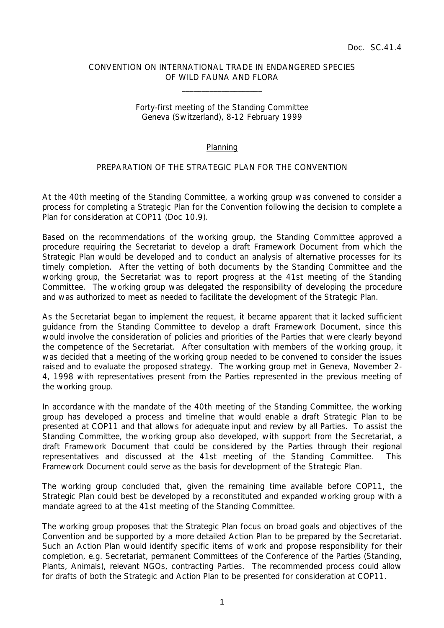## CONVENTION ON INTERNATIONAL TRADE IN ENDANGERED SPECIES OF WILD FAUNA AND FLORA

 $\overline{\phantom{a}}$  , which is a set of the set of the set of the set of the set of the set of the set of the set of the set of the set of the set of the set of the set of the set of the set of the set of the set of the set of th

## Forty-first meeting of the Standing Committee Geneva (Switzerland), 8-12 February 1999

## Planning

## PREPARATION OF THE STRATEGIC PLAN FOR THE CONVENTION

At the 40th meeting of the Standing Committee, a working group was convened to consider a process for completing a Strategic Plan for the Convention following the decision to complete a Plan for consideration at COP11 (Doc 10.9).

Based on the recommendations of the working group, the Standing Committee approved a procedure requiring the Secretariat to develop a draft Framework Document from which the Strategic Plan would be developed and to conduct an analysis of alternative processes for its timely completion. After the vetting of both documents by the Standing Committee and the working group, the Secretariat was to report progress at the 41st meeting of the Standing Committee. The working group was delegated the responsibility of developing the procedure and was authorized to meet as needed to facilitate the development of the Strategic Plan.

As the Secretariat began to implement the request, it became apparent that it lacked sufficient guidance from the Standing Committee to develop a draft Framework Document, since this would involve the consideration of policies and priorities of the Parties that were clearly beyond the competence of the Secretariat. After consultation with members of the working group, it was decided that a meeting of the working group needed to be convened to consider the issues raised and to evaluate the proposed strategy. The working group met in Geneva, November 2- 4, 1998 with representatives present from the Parties represented in the previous meeting of the working group.

In accordance with the mandate of the 40th meeting of the Standing Committee, the working group has developed a process and timeline that would enable a draft Strategic Plan to be presented at COP11 and that allows for adequate input and review by all Parties. To assist the Standing Committee, the working group also developed, with support from the Secretariat, a draft Framework Document that could be considered by the Parties through their regional representatives and discussed at the 41st meeting of the Standing Committee. This Framework Document could serve as the basis for development of the Strategic Plan.

The working group concluded that, given the remaining time available before COP11, the Strategic Plan could best be developed by a reconstituted and expanded working group with a mandate agreed to at the 41st meeting of the Standing Committee.

The working group proposes that the Strategic Plan focus on broad goals and objectives of the Convention and be supported by a more detailed Action Plan to be prepared by the Secretariat. Such an Action Plan would identify specific items of work and propose responsibility for their completion, e.g. Secretariat, permanent Committees of the Conference of the Parties (Standing, Plants, Animals), relevant NGOs, contracting Parties. The recommended process could allow for drafts of both the Strategic and Action Plan to be presented for consideration at COP11.